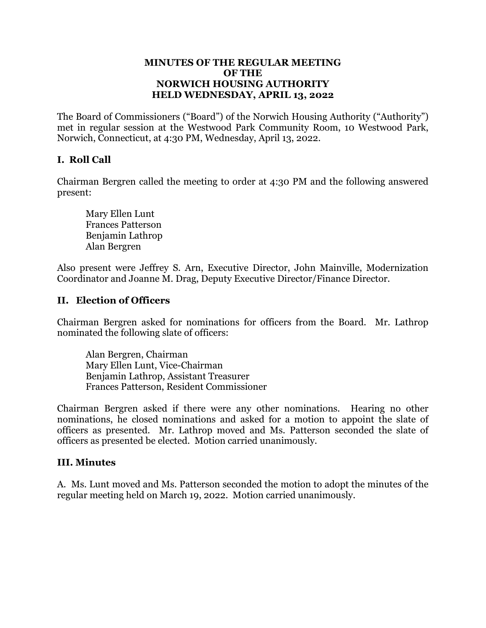#### **MINUTES OF THE REGULAR MEETING OF THE NORWICH HOUSING AUTHORITY HELD WEDNESDAY, APRIL 13, 2022**

The Board of Commissioners ("Board") of the Norwich Housing Authority ("Authority") met in regular session at the Westwood Park Community Room, 10 Westwood Park, Norwich, Connecticut, at 4:30 PM, Wednesday, April 13, 2022.

# **I. Roll Call**

Chairman Bergren called the meeting to order at 4:30 PM and the following answered present:

Mary Ellen Lunt Frances Patterson Benjamin Lathrop Alan Bergren

Also present were Jeffrey S. Arn, Executive Director, John Mainville, Modernization Coordinator and Joanne M. Drag, Deputy Executive Director/Finance Director.

### **II. Election of Officers**

Chairman Bergren asked for nominations for officers from the Board. Mr. Lathrop nominated the following slate of officers:

Alan Bergren, Chairman Mary Ellen Lunt, Vice-Chairman Benjamin Lathrop, Assistant Treasurer Frances Patterson, Resident Commissioner

Chairman Bergren asked if there were any other nominations. Hearing no other nominations, he closed nominations and asked for a motion to appoint the slate of officers as presented. Mr. Lathrop moved and Ms. Patterson seconded the slate of officers as presented be elected. Motion carried unanimously.

### **III. Minutes**

A. Ms. Lunt moved and Ms. Patterson seconded the motion to adopt the minutes of the regular meeting held on March 19, 2022. Motion carried unanimously.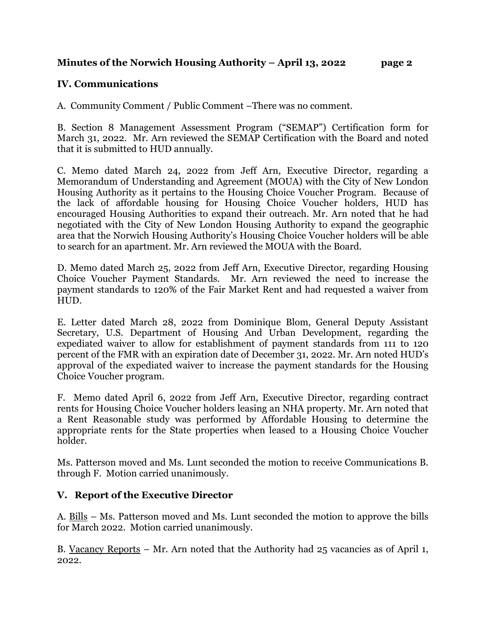## **Minutes of the Norwich Housing Authority – April 13, 2022 page 2**

# **IV. Communications**

A. Community Comment / Public Comment –There was no comment.

B. Section 8 Management Assessment Program ("SEMAP") Certification form for March 31, 2022. Mr. Arn reviewed the SEMAP Certification with the Board and noted that it is submitted to HUD annually.

C. Memo dated March 24, 2022 from Jeff Arn, Executive Director, regarding a Memorandum of Understanding and Agreement (MOUA) with the City of New London Housing Authority as it pertains to the Housing Choice Voucher Program. Because of the lack of affordable housing for Housing Choice Voucher holders, HUD has encouraged Housing Authorities to expand their outreach. Mr. Arn noted that he had negotiated with the City of New London Housing Authority to expand the geographic area that the Norwich Housing Authority's Housing Choice Voucher holders will be able to search for an apartment. Mr. Arn reviewed the MOUA with the Board.

D. Memo dated March 25, 2022 from Jeff Arn, Executive Director, regarding Housing Choice Voucher Payment Standards. Mr. Arn reviewed the need to increase the payment standards to 120% of the Fair Market Rent and had requested a waiver from HUD.

E. Letter dated March 28, 2022 from Dominique Blom, General Deputy Assistant Secretary, U.S. Department of Housing And Urban Development, regarding the expediated waiver to allow for establishment of payment standards from 111 to 120 percent of the FMR with an expiration date of December 31, 2022. Mr. Arn noted HUD's approval of the expediated waiver to increase the payment standards for the Housing Choice Voucher program.

F. Memo dated April 6, 2022 from Jeff Arn, Executive Director, regarding contract rents for Housing Choice Voucher holders leasing an NHA property. Mr. Arn noted that a Rent Reasonable study was performed by Affordable Housing to determine the appropriate rents for the State properties when leased to a Housing Choice Voucher holder.

Ms. Patterson moved and Ms. Lunt seconded the motion to receive Communications B. through F. Motion carried unanimously.

# **V. Report of the Executive Director**

A. Bills – Ms. Patterson moved and Ms. Lunt seconded the motion to approve the bills for March 2022. Motion carried unanimously.

B. Vacancy Reports – Mr. Arn noted that the Authority had 25 vacancies as of April 1, 2022.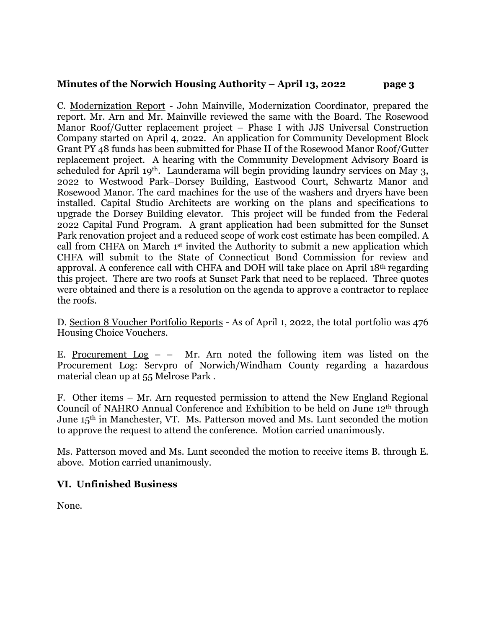## **Minutes of the Norwich Housing Authority – April 13, 2022 page 3**

C. Modernization Report - John Mainville, Modernization Coordinator, prepared the report. Mr. Arn and Mr. Mainville reviewed the same with the Board. The Rosewood Manor Roof/Gutter replacement project – Phase I with JJS Universal Construction Company started on April 4, 2022. An application for Community Development Block Grant PY 48 funds has been submitted for Phase II of the Rosewood Manor Roof/Gutter replacement project. A hearing with the Community Development Advisory Board is scheduled for April 19th. Launderama will begin providing laundry services on May 3, 2022 to Westwood Park–Dorsey Building, Eastwood Court, Schwartz Manor and Rosewood Manor. The card machines for the use of the washers and dryers have been installed. Capital Studio Architects are working on the plans and specifications to upgrade the Dorsey Building elevator. This project will be funded from the Federal 2022 Capital Fund Program. A grant application had been submitted for the Sunset Park renovation project and a reduced scope of work cost estimate has been compiled. A call from CHFA on March 1st invited the Authority to submit a new application which CHFA will submit to the State of Connecticut Bond Commission for review and approval. A conference call with CHFA and DOH will take place on April 18th regarding this project. There are two roofs at Sunset Park that need to be replaced. Three quotes were obtained and there is a resolution on the agenda to approve a contractor to replace the roofs.

D. Section 8 Voucher Portfolio Reports - As of April 1, 2022, the total portfolio was 476 Housing Choice Vouchers.

E. Procurement  $Log - - Mr$ . Arn noted the following item was listed on the Procurement Log: Servpro of Norwich/Windham County regarding a hazardous material clean up at 55 Melrose Park .

F. Other items – Mr. Arn requested permission to attend the New England Regional Council of NAHRO Annual Conference and Exhibition to be held on June 12th through June 15th in Manchester, VT. Ms. Patterson moved and Ms. Lunt seconded the motion to approve the request to attend the conference. Motion carried unanimously.

Ms. Patterson moved and Ms. Lunt seconded the motion to receive items B. through E. above. Motion carried unanimously.

# **VI. Unfinished Business**

None.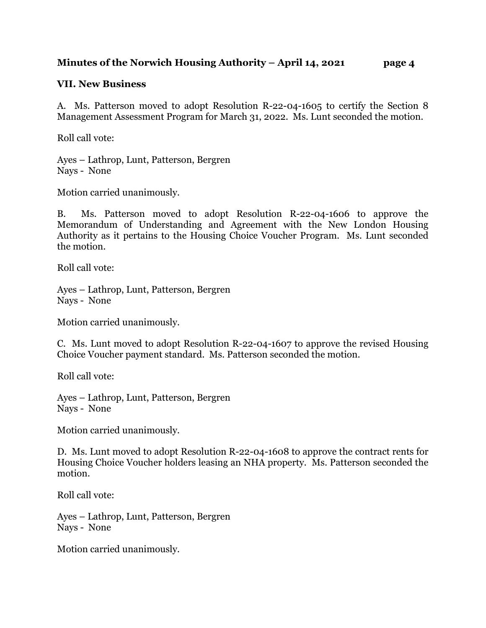# **Minutes of the Norwich Housing Authority – April 14, 2021 page 4**

### **VII. New Business**

A. Ms. Patterson moved to adopt Resolution R-22-04-1605 to certify the Section 8 Management Assessment Program for March 31, 2022. Ms. Lunt seconded the motion.

Roll call vote:

Ayes – Lathrop, Lunt, Patterson, Bergren Nays - None

Motion carried unanimously.

B. Ms. Patterson moved to adopt Resolution R-22-04-1606 to approve the Memorandum of Understanding and Agreement with the New London Housing Authority as it pertains to the Housing Choice Voucher Program. Ms. Lunt seconded the motion.

Roll call vote:

Ayes – Lathrop, Lunt, Patterson, Bergren Nays - None

Motion carried unanimously.

C. Ms. Lunt moved to adopt Resolution R-22-04-1607 to approve the revised Housing Choice Voucher payment standard. Ms. Patterson seconded the motion.

Roll call vote:

Ayes – Lathrop, Lunt, Patterson, Bergren Nays - None

Motion carried unanimously.

D. Ms. Lunt moved to adopt Resolution R-22-04-1608 to approve the contract rents for Housing Choice Voucher holders leasing an NHA property. Ms. Patterson seconded the motion.

Roll call vote:

Ayes – Lathrop, Lunt, Patterson, Bergren Nays - None

Motion carried unanimously.